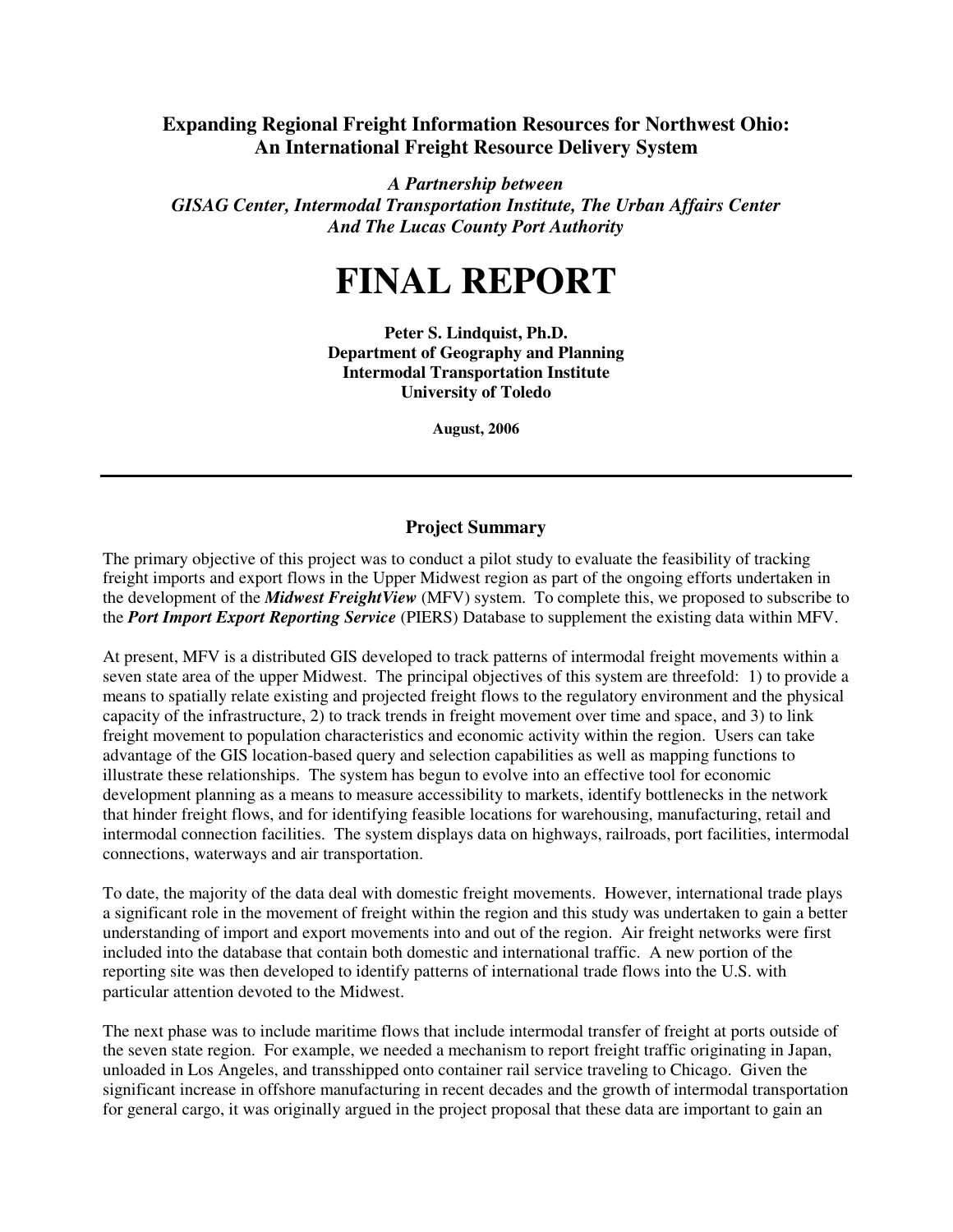## **Expanding Regional Freight Information Resources for Northwest Ohio: An International Freight Resource Delivery System**

*A Partnership between GISAG Center, Intermodal Transportation Institute, The Urban Affairs Center And The Lucas County Port Authority*

## **FINAL REPORT**

**Peter S. Lindquist, Ph.D. Department of Geography and Planning Intermodal Transportation Institute University of Toledo**

**August, 2006**

## **Project Summary**

The primary objective of this project was to conduct a pilot study to evaluate the feasibility of tracking freight imports and export flows in the Upper Midwest region as part of the ongoing efforts undertaken in the development of the *Midwest FreightView* (MFV) system. To complete this, we proposed to subscribe to the *Port Import Export Reporting Service* (PIERS) Database to supplement the existing data within MFV.

At present, MFV is a distributed GIS developed to track patterns of intermodal freight movements within a seven state area of the upper Midwest. The principal objectives of this system are threefold: 1) to provide a means to spatially relate existing and projected freight flows to the regulatory environment and the physical capacity of the infrastructure, 2) to track trends in freight movement over time and space, and 3) to link freight movement to population characteristics and economic activity within the region. Users can take advantage of the GIS location-based query and selection capabilities as well as mapping functions to illustrate these relationships. The system has begun to evolve into an effective tool for economic development planning as a means to measure accessibility to markets, identify bottlenecks in the network that hinder freight flows, and for identifying feasible locations for warehousing, manufacturing, retail and intermodal connection facilities. The system displays data on highways, railroads, port facilities, intermodal connections, waterways and air transportation.

To date, the majority of the data deal with domestic freight movements. However, international trade plays a significant role in the movement of freight within the region and this study was undertaken to gain a better understanding of import and export movements into and out of the region. Air freight networks were first included into the database that contain both domestic and international traffic. A new portion of the reporting site was then developed to identify patterns of international trade flows into the U.S. with particular attention devoted to the Midwest.

The next phase was to include maritime flows that include intermodal transfer of freight at ports outside of the seven state region. For example, we needed a mechanism to report freight traffic originating in Japan, unloaded in Los Angeles, and transshipped onto container rail service traveling to Chicago. Given the significant increase in offshore manufacturing in recent decades and the growth of intermodal transportation for general cargo, it was originally argued in the project proposal that these data are important to gain an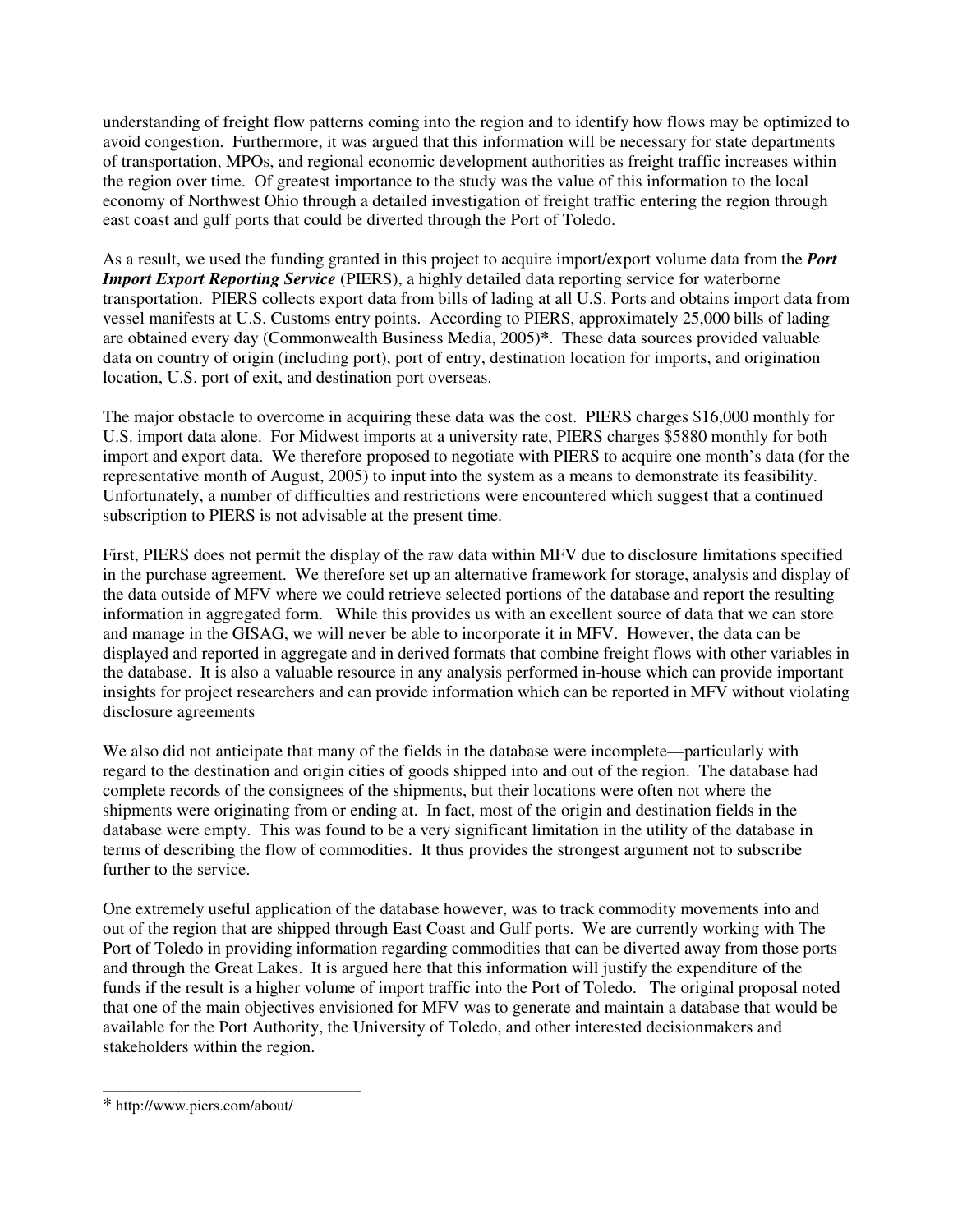understanding of freight flow patterns coming into the region and to identify how flows may be optimized to avoid congestion. Furthermore, it was argued that this information will be necessary for state departments of transportation, MPOs, and regional economic development authorities as freight traffic increases within the region over time. Of greatest importance to the study was the value of this information to the local economy of Northwest Ohio through a detailed investigation of freight traffic entering the region through east coast and gulf ports that could be diverted through the Port of Toledo.

As a result, we used the funding granted in this project to acquire import/export volume data from the *Port Import Export Reporting Service* (PIERS), a highly detailed data reporting service for waterborne transportation. PIERS collects export data from bills of lading at all U.S. Ports and obtains import data from vessel manifests at U.S. Customs entry points. According to PIERS, approximately 25,000 bills of lading are obtained every day (Commonwealth Business Media, 2005)**\***. These data sources provided valuable data on country of origin (including port), port of entry, destination location for imports, and origination location, U.S. port of exit, and destination port overseas.

The major obstacle to overcome in acquiring these data was the cost. PIERS charges \$16,000 monthly for U.S. import data alone. For Midwest imports at a university rate, PIERS charges \$5880 monthly for both import and export data. We therefore proposed to negotiate with PIERS to acquire one month's data (for the representative month of August, 2005) to input into the system as a means to demonstrate its feasibility. Unfortunately, a number of difficulties and restrictions were encountered which suggest that a continued subscription to PIERS is not advisable at the present time.

First, PIERS does not permit the display of the raw data within MFV due to disclosure limitations specified in the purchase agreement. We therefore set up an alternative framework for storage, analysis and display of the data outside of MFV where we could retrieve selected portions of the database and report the resulting information in aggregated form. While this provides us with an excellent source of data that we can store and manage in the GISAG, we will never be able to incorporate it in MFV. However, the data can be displayed and reported in aggregate and in derived formats that combine freight flows with other variables in the database. It is also a valuable resource in any analysis performed in-house which can provide important insights for project researchers and can provide information which can be reported in MFV without violating disclosure agreements

We also did not anticipate that many of the fields in the database were incomplete—particularly with regard to the destination and origin cities of goods shipped into and out of the region. The database had complete records of the consignees of the shipments, but their locations were often not where the shipments were originating from or ending at. In fact, most of the origin and destination fields in the database were empty. This was found to be a very significant limitation in the utility of the database in terms of describing the flow of commodities. It thus provides the strongest argument not to subscribe further to the service.

One extremely useful application of the database however, was to track commodity movements into and out of the region that are shipped through East Coast and Gulf ports. We are currently working with The Port of Toledo in providing information regarding commodities that can be diverted away from those ports and through the Great Lakes. It is argued here that this information will justify the expenditure of the funds if the result is a higher volume of import traffic into the Port of Toledo. The original proposal noted that one of the main objectives envisioned for MFV was to generate and maintain a database that would be available for the Port Authority, the University of Toledo, and other interested decisionmakers and stakeholders within the region.

\_\_\_\_\_\_\_\_\_\_\_\_\_\_\_\_\_\_\_\_\_\_\_\_\_\_\_\_\_\_\_\_\_

<sup>\*</sup> http://www.piers.com/about/